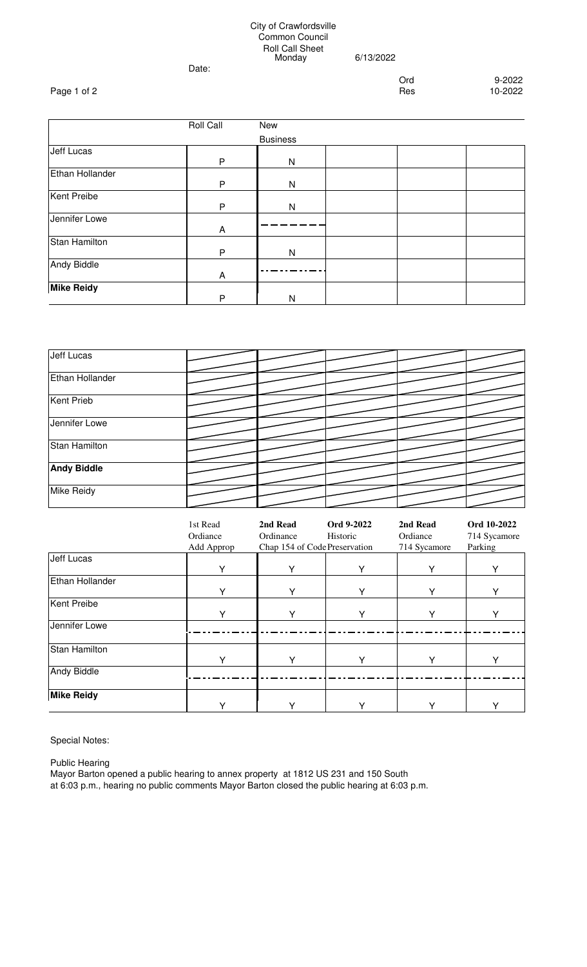## City of Crawfordsville Common Council Roll Call Sheet Monday 6/13/2022

Date:

Ord 9-2022<br>Res 10-2022

|                        | <b>Roll Call</b> | New          |  |  |  |  |  |
|------------------------|------------------|--------------|--|--|--|--|--|
| <b>Business</b>        |                  |              |  |  |  |  |  |
| <b>Jeff Lucas</b>      | P                | $\mathsf{N}$ |  |  |  |  |  |
| <b>Ethan Hollander</b> | P                | $\mathsf{N}$ |  |  |  |  |  |
| <b>Kent Preibe</b>     | P                | N            |  |  |  |  |  |
| Jennifer Lowe          | A                |              |  |  |  |  |  |
| <b>Stan Hamilton</b>   | P                | N            |  |  |  |  |  |
| <b>Andy Biddle</b>     | Α                |              |  |  |  |  |  |
| <b>Mike Reidy</b>      | P                | N            |  |  |  |  |  |

| <b>Jeff Lucas</b>    |  |  |  |
|----------------------|--|--|--|
| Ethan Hollander      |  |  |  |
| <b>Kent Prieb</b>    |  |  |  |
| Jennifer Lowe        |  |  |  |
| <b>Stan Hamilton</b> |  |  |  |
| <b>Andy Biddle</b>   |  |  |  |
| <b>Mike Reidy</b>    |  |  |  |

|                      | 1st Read<br>Ordiance<br>Add Approp | 2nd Read<br>Ordinance<br>Chap 154 of Code Preservation | Ord 9-2022<br>Historic | 2nd Read<br>Ordiance<br>714 Sycamore | Ord 10-2022<br>714 Sycamore<br>Parking |
|----------------------|------------------------------------|--------------------------------------------------------|------------------------|--------------------------------------|----------------------------------------|
| <b>Jeff Lucas</b>    | Υ                                  | Y                                                      | Υ                      | Υ                                    | Y                                      |
| Ethan Hollander      | Y                                  | Y                                                      |                        | Y                                    | Y                                      |
| <b>Kent Preibe</b>   | v                                  | v                                                      | ∨                      | v                                    | v                                      |
| Jennifer Lowe        |                                    |                                                        |                        |                                      |                                        |
| <b>Stan Hamilton</b> | v                                  | v                                                      |                        | v                                    | Y                                      |
| <b>Andy Biddle</b>   |                                    |                                                        |                        |                                      |                                        |
| <b>Mike Reidy</b>    |                                    |                                                        |                        | ∨                                    | v                                      |

Special Notes:

Public Hearing

Mayor Barton opened a public hearing to annex property at 1812 US 231 and 150 South at 6:03 p.m., hearing no public comments Mayor Barton closed the public hearing at 6:03 p.m.

Page 1 of 2